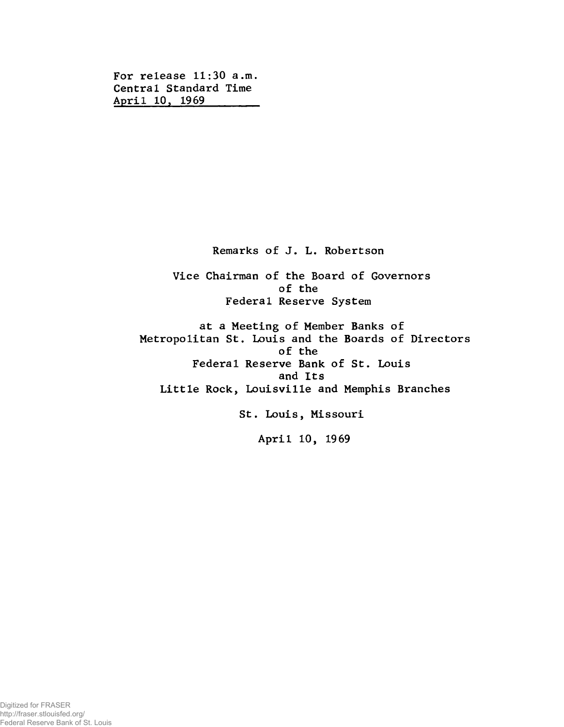**For release 11:30 a.m. Central Standard Time April 10, 1969\_\_\_\_\_\_\_\_**

**Remarks of J. L. Robertson**

**Vice Chairman of the Board of Governors of the Federal Reserve System**

**at a Meeting of Member Banks of Metropolitan St. Louis and the Boards of Directors of the Federal Reserve Bank of St. Louis and Its Little Rock, Louisville and Memphis Branches**

**St. Louis, Missouri**

**April 10, 1969**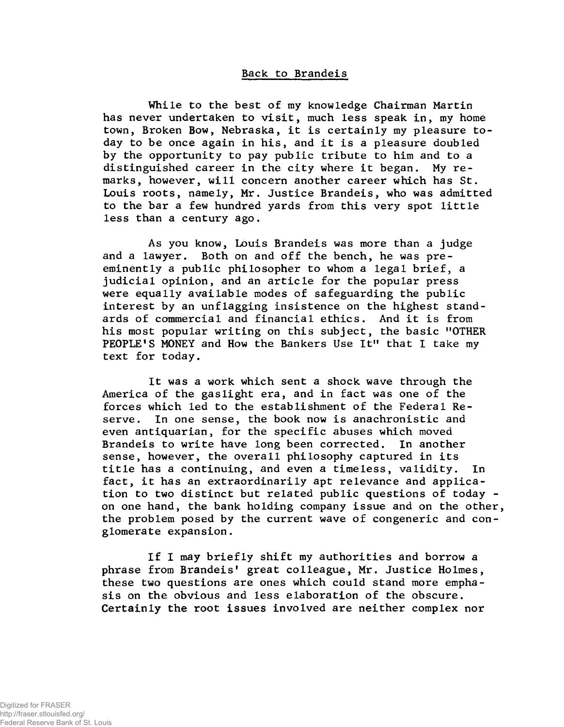## **Back to Brandéis**

**While to the best of my knowledge Chairman Martin has never undertaken to visit, much less speak in, my home town, Broken Bow, Nebraska, it is certainly my pleasure today to be once again in his, and it is a pleasure doubled by the opportunity to pay public tribute to him and to a distinguished career in the city where it began. My remarks, however, will concern another career which has St. Louis roots, namely, Mr. Justice Brandéis, who was admitted to the bar a few hundred yards from this very spot little less than a century ago.**

**As you know, Louis Brandéis was more than a judge and a lawyer. Both on and off the bench, he was preeminently a public philosopher to whom a legal brief, a judicial opinion, and an article for the popular press were equally available modes of safeguarding the public interest by an unflagging insistence on the highest standards of commercial and financial ethics. And it is from his most popular writing on this subject, the basic "OTHER PEOPLE'S MONEY and How the Bankers Use It" that I take my text for today.**

**It was a work which sent a shock wave through the America of the gaslight era, and in fact was one of the forces which led to the establishment of the Federal Reserve. In one sense, the book now is anachronistic and even antiquarian, for the specific abuses which moved Brandéis to write have long been corrected. In another sense, however, the overall philosophy captured in its title has a continuing, and even a timeless, validity. In fact, it has an extraordinarily apt relevance and application to two distinct but related public questions of today on one hand, the bank holding company issue and on the other, the problem posed by the current wave of congeneric and conglomerate expansion.**

**If I may briefly shift my authorities and borrow a phrase from Brandéis' great colleague, Mr. Justice Holmes, these two questions are ones which could stand more emphasis on the obvious and less elaboration of the obscure. Certainly the root issues involved are neither complex nor**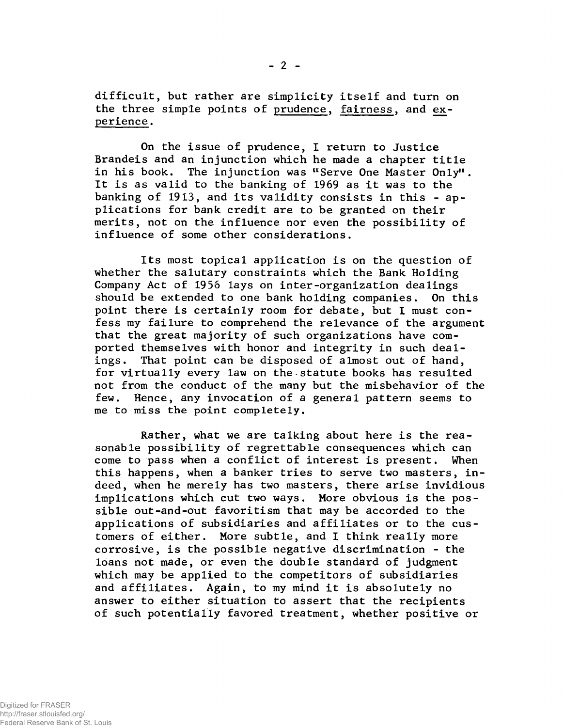**difficult, but rather are simplicity itself and turn on the three simple points of prudence, fairness, and experience .**

**On the issue of prudence, I return to Justice Brandeis and an injunction which he made a chapter title in his book. The injunction was "Serve One Master Only1'. It is as valid to the banking of 1969 as it was to the banking of 1913, and its validity consists in this - applications for bank credit are to be granted on their merits, not on the influence nor even the possibility of influence of some other considerations.**

**Its most topical application is on the question of whether the salutary constraints which the Bank Holding Company Act of 1956 lays on inter-organization dealings should be extended to one bank holding companies. On this point there is certainly room for debate, but I must confess my failure to comprehend the relevance of the argument that the great majority of such organizations have comported themselves with honor and integrity in such dealings. That point can be disposed of almost out of hand, for virtually every law on the statute books has resulted not from the conduct of the many but the misbehavior of the few. Hence, any invocation of a general pattern seems to me to miss the point completely.**

**Rather, what we are talking about here is the reasonable possibility of regrettable consequences which can come to pass when a conflict of interest is present. When this happens, when a banker tries to serve two masters, indeed, when he merely has two masters, there arise invidious implications which cut two ways. More obvious is the possible out-and-out favoritism that may be accorded to the applications of subsidiaries and affiliates or to the customers of either. More subtle, and I think really more corrosive, is the possible negative discrimination - the loans not made, or even the double standard of judgment which may be applied to the competitors of subsidiaries and affiliates. Again, to my mind it is absolutely no answer to either situation to assert that the recipients of such potentially favored treatment, whether positive or**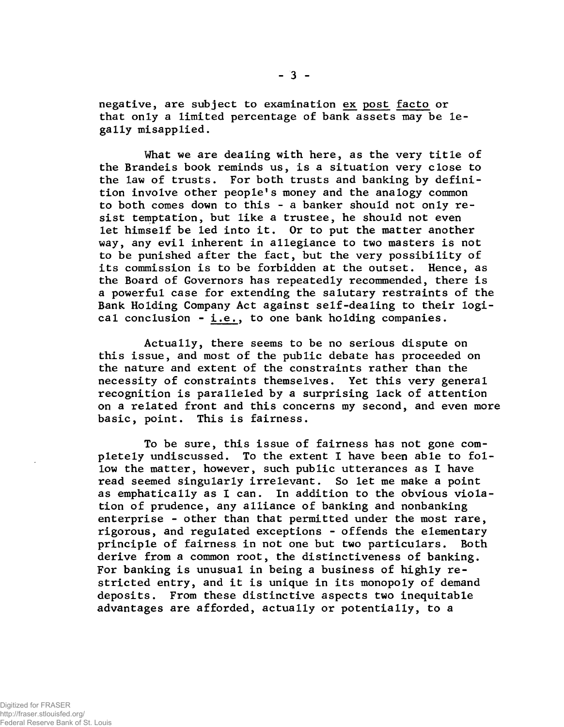**negative, are subject to examination ex post facto or that only a limited percentage of bank assets may be legally misapplied.**

**What we are dealing with here, as the very title of the Brandeis book reminds us, is a situation very close to the law of trusts. For both trusts and banking by definition involve other people's money and the analogy common to both comes down to this - a banker should not only resist temptation, but like a trustee, he should not even let himself be led into it. Or to put the matter another way, any evil inherent in allegiance to two masters is not to be punished after the fact, but the very possibility of its commission is to be forbidden at the outset. Hence, as the Board of Governors has repeatedly recommended, there is a powerful case for extending the salutary restraints of the Bank Holding Company Act against self-dealing to their logical conclusion - i.e., to one bank holding companies.**

**Actually, there seems to be no serious dispute on this issue, and most of the public debate has proceeded on the nature and extent of the constraints rather than the necessity of constraints themselves. Yet this very general recognition is paralleled by a surprising lack of attention on a related front and this concerns my second, and even more basic, point. This is fairness.**

**To be sure, this issue of fairness has not gone completely undiscussed. To the extent I have been able to follow the matter, however, such public utterances as I have read seemed singularly irrelevant. So let me make a point as emphatically as I can. In addition to the obvious violation of prudence, any alliance of banking and nonbanking enterprise - other than that permitted under the most rare, rigorous, and regulated exceptions - offends the elementary principle of fairness in not one but two particulars. Both derive from a common root, the distinctiveness of banking. For banking is unusual in being a business of highly restricted entry, and it is unique in its monopoly of demand deposits. From these distinctive aspects two inequitable advantages are afforded, actually or potentially, to a**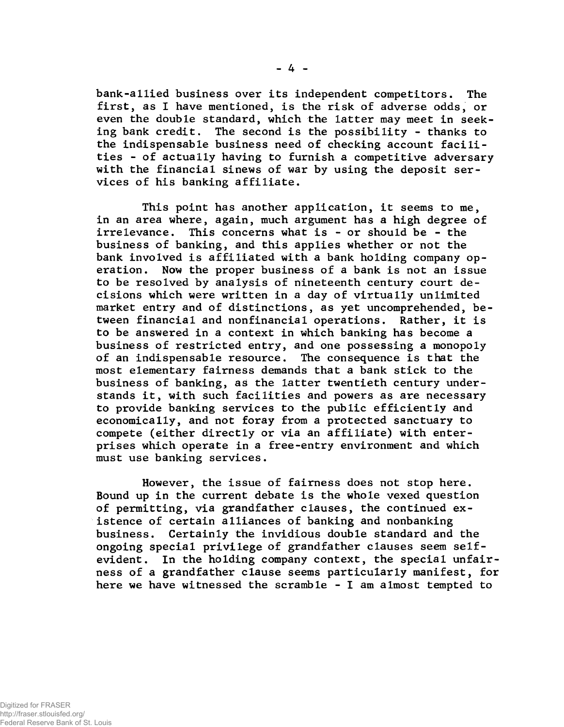**bank-allied business over its independent competitors. The first, as I have mentioned, is the risk of adverse odds, or even the double standard, which the latter may meet in seeking bank credit. The second is the possibility - thanks to the indispensable business need of checking account facilities - of actually having to furnish a competitive adversary with the financial sinews of war by using the deposit services of his banking affiliate.**

**This point has another application, it seems to me, in an area where, again, much argument has a high degree of irrelevance. This concerns what is - or should be - the business of banking, and this applies whether or not the bank involved is affiliated with a bank holding company operation. Now the proper business of a bank is not an issue to be resolved by analysis of nineteenth century court decisions which were written in a day of virtually unlimited market entry and of distinctions, as yet uncomprehended, between financial and nonfinancial operations. Rather, it is to be answered in a context in which banking has become a business of restricted entry, and one possessing a monopoly of an indispensable resource. The consequence is that the most elementary fairness demands that a bank stick to the business of banking, as the latter twentieth century understands it, with such facilities and powers as are necessary to provide banking services to the public efficiently and economically, and not foray from a protected sanctuary to compete (either directly or via an affiliate) with enterprises which operate in a free-entry environment and which must use banking services.**

**However, the issue of fairness does not stop here. Bound up in the current debate is the whole vexed question of permitting, via grandfather clauses, the continued existence of certain alliances of banking and nonbanking business. Certainly the invidious double standard and the ongoing special privilege of grandfather clauses seem selfevident. In the holding company context, the special unfairness of a grandfather clause seems particularly manifest, for here we have witnessed the scramble - I am almost tempted to**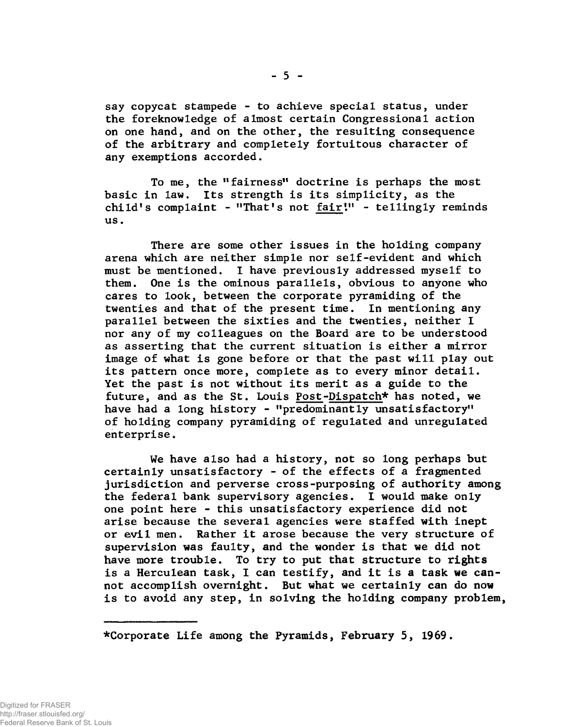**say copycat stampede - to achieve special status, under the foreknowledge of almost certain Congressional action on one hand, and on the other, the resulting consequence of the arbitrary and completely fortuitous character of any exemptions accorded.**

**To me, the "fairness" doctrine is perhaps the most basic in law. Its strength is its simplicity, as the child's complaint - "That's not fair1." - tellingly reminds us.**

**There are some other issues in the holding company arena which are neither simple nor self-evident and which must be mentioned. I have previously addressed myself to them. One is the ominous parallels, obvious to anyone who cares to look, between the corporate pyramiding of the twenties and that of the present time. In mentioning any parallel between the sixties and the twenties, neither I nor any of my colleagues on the Board are to be understood as asserting that the current situation is either a mirror image of what is gone before or that the past will play out its pattern once more, complete as to every minor detail. Yet the past is not without its merit as a guide to the future, and as the St. Louis Post-Dispatch\* has noted, we have had a long history - "predominantly unsatisfactory" of holding company pyramiding of regulated and unregulated enterprise.**

**We have also had a history, not so long perhaps but certainly unsatisfactory - of the effects of a fragmented jurisdiction and perverse cross-purposing of authority among the federal bank supervisory agencies. I would make only one point here - this unsatisfactory experience did not arise because the several agencies were staffed with inept or evil men. Rather it arose because the very structure of supervision was faulty, and the wonder is that we did not have more trouble. To try to put that structure to rights is a Herculean task, I can testify, and it is a task we cannot accomplish overnight. But what we certainly can do now is to avoid any step, in solving the holding company problem,**

**■^Corporate Life among the Pyramids, February 5, 1969.**